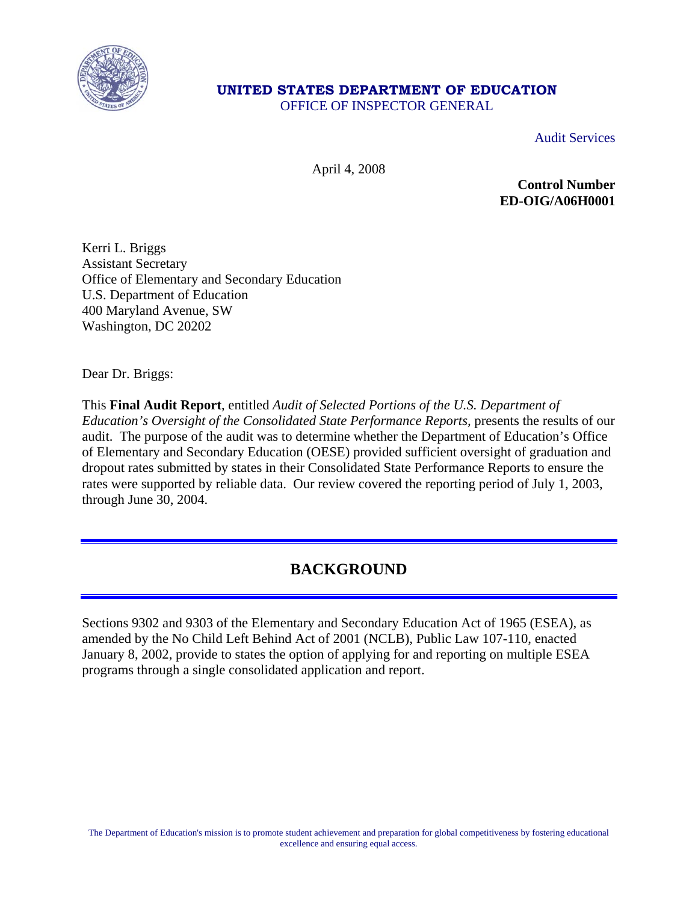

## **UNITED STATES DEPARTMENT OF EDUCATION**

OFFICE OF INSPECTOR GENERAL

Audit Services

April 4, 2008

**Control Number ED-OIG/A06H0001** 

Kerri L. Briggs Assistant Secretary Office of Elementary and Secondary Education U.S. Department of Education 400 Maryland Avenue, SW Washington, DC 20202

Dear Dr. Briggs:

This **Final Audit Report**, entitled *Audit of Selected Portions of the U.S. Department of Education's Oversight of the Consolidated State Performance Reports,* presents the results of our audit. The purpose of the audit was to determine whether the Department of Education's Office of Elementary and Secondary Education (OESE) provided sufficient oversight of graduation and dropout rates submitted by states in their Consolidated State Performance Reports to ensure the rates were supported by reliable data. Our review covered the reporting period of July 1, 2003, through June 30, 2004.

## **BACKGROUND**

Sections 9302 and 9303 of the Elementary and Secondary Education Act of 1965 (ESEA), as amended by the No Child Left Behind Act of 2001 (NCLB), Public Law 107-110, enacted January 8, 2002, provide to states the option of applying for and reporting on multiple ESEA programs through a single consolidated application and report.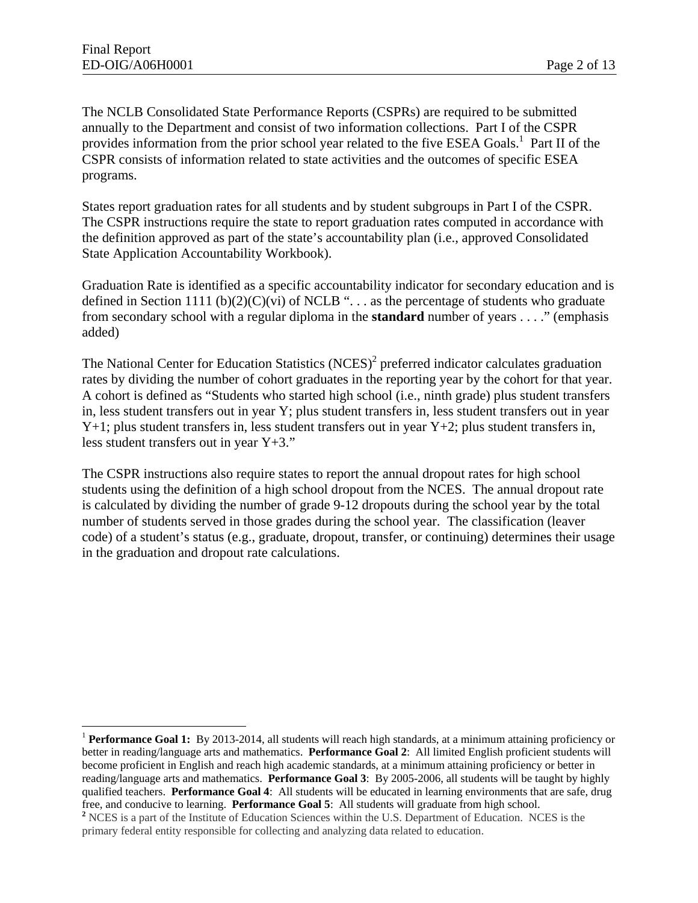$\overline{a}$ 

The NCLB Consolidated State Performance Reports (CSPRs) are required to be submitted annually to the Department and consist of two information collections. Part I of the CSPR provides information from the prior school year related to the five ESEA Goals.<sup>1</sup> Part II of the CSPR consists of information related to state activities and the outcomes of specific ESEA programs.

States report graduation rates for all students and by student subgroups in Part I of the CSPR. The CSPR instructions require the state to report graduation rates computed in accordance with the definition approved as part of the state's accountability plan (i.e., approved Consolidated State Application Accountability Workbook).

Graduation Rate is identified as a specific accountability indicator for secondary education and is defined in Section 1111 (b)(2)(C)(vi) of NCLB "... as the percentage of students who graduate from secondary school with a regular diploma in the **standard** number of years . . . ." (emphasis added)

The National Center for Education Statistics  $(NCES)^2$  preferred indicator calculates graduation rates by dividing the number of cohort graduates in the reporting year by the cohort for that year. A cohort is defined as "Students who started high school (i.e., ninth grade) plus student transfers in, less student transfers out in year Y; plus student transfers in, less student transfers out in year  $Y+1$ ; plus student transfers in, less student transfers out in year  $Y+2$ ; plus student transfers in, less student transfers out in year Y+3."

The CSPR instructions also require states to report the annual dropout rates for high school students using the definition of a high school dropout from the NCES. The annual dropout rate is calculated by dividing the number of grade 9-12 dropouts during the school year by the total number of students served in those grades during the school year. The classification (leaver code) of a student's status (e.g., graduate, dropout, transfer, or continuing) determines their usage in the graduation and dropout rate calculations.

free, and conducive to learning. **Performance Goal 5**: All students will graduate from high school. <sup>1</sup> Performance Goal 1: By 2013-2014, all students will reach high standards, at a minimum attaining proficiency or better in reading/language arts and mathematics. **Performance Goal 2**: All limited English proficient students will become proficient in English and reach high academic standards, at a minimum attaining proficiency or better in reading/language arts and mathematics. **Performance Goal 3**: By 2005-2006, all students will be taught by highly qualified teachers. **Performance Goal 4**: All students will be educated in learning environments that are safe, drug

<sup>&</sup>lt;sup>2</sup> NCES is a part of the Institute of Education Sciences within the U.S. Department of Education. NCES is the primary federal entity responsible for collecting and analyzing data related to education.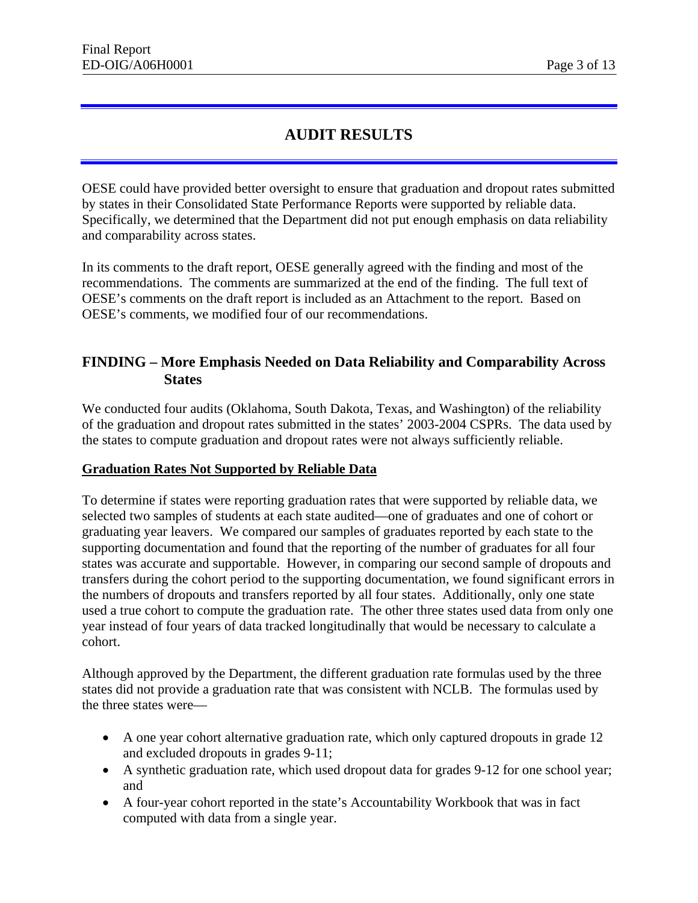## **AUDIT RESULTS**

OESE could have provided better oversight to ensure that graduation and dropout rates submitted by states in their Consolidated State Performance Reports were supported by reliable data. Specifically, we determined that the Department did not put enough emphasis on data reliability and comparability across states.

In its comments to the draft report, OESE generally agreed with the finding and most of the recommendations. The comments are summarized at the end of the finding. The full text of OESE's comments on the draft report is included as an Attachment to the report. Based on OESE's comments, we modified four of our recommendations.

## **FINDING – More Emphasis Needed on Data Reliability and Comparability Across States**

We conducted four audits (Oklahoma, South Dakota, Texas, and Washington) of the reliability of the graduation and dropout rates submitted in the states' 2003-2004 CSPRs. The data used by the states to compute graduation and dropout rates were not always sufficiently reliable.

#### **Graduation Rates Not Supported by Reliable Data**

To determine if states were reporting graduation rates that were supported by reliable data, we selected two samples of students at each state audited—one of graduates and one of cohort or graduating year leavers. We compared our samples of graduates reported by each state to the supporting documentation and found that the reporting of the number of graduates for all four states was accurate and supportable. However, in comparing our second sample of dropouts and transfers during the cohort period to the supporting documentation, we found significant errors in the numbers of dropouts and transfers reported by all four states. Additionally, only one state used a true cohort to compute the graduation rate. The other three states used data from only one year instead of four years of data tracked longitudinally that would be necessary to calculate a cohort.

Although approved by the Department, the different graduation rate formulas used by the three states did not provide a graduation rate that was consistent with NCLB. The formulas used by the three states were—

- A one year cohort alternative graduation rate, which only captured dropouts in grade 12 and excluded dropouts in grades 9-11;
- A synthetic graduation rate, which used dropout data for grades 9-12 for one school year; and
- A four-year cohort reported in the state's Accountability Workbook that was in fact computed with data from a single year.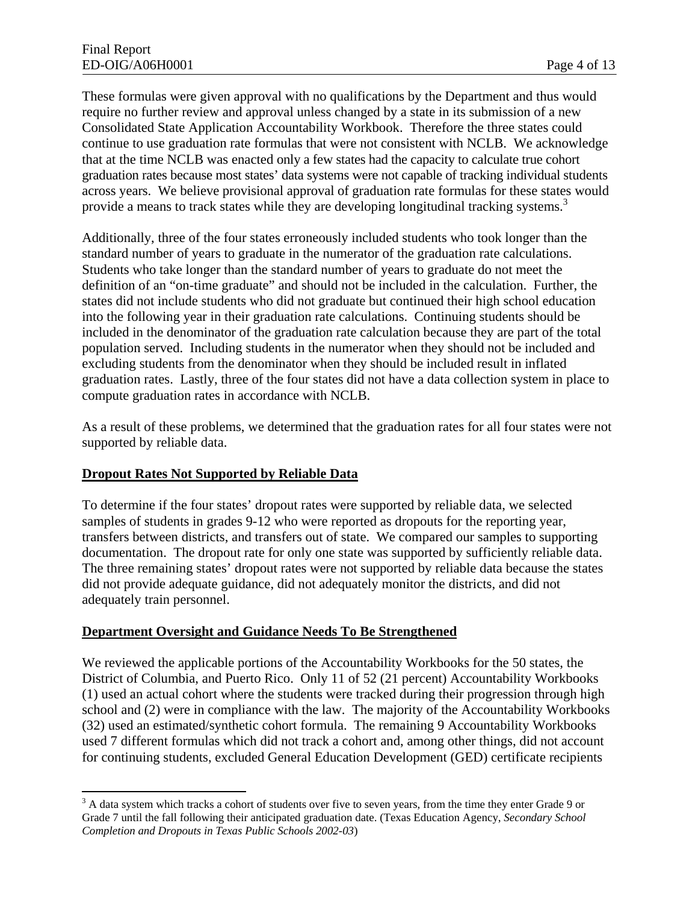that at the time NCLB was enacted only a few states had the capacity to calculate true cohort These formulas were given approval with no qualifications by the Department and thus would require no further review and approval unless changed by a state in its submission of a new Consolidated State Application Accountability Workbook. Therefore the three states could continue to use graduation rate formulas that were not consistent with NCLB. We acknowledge graduation rates because most states' data systems were not capable of tracking individual students across years. We believe provisional approval of graduation rate formulas for these states would provide a means to track states while they are developing longitudinal tracking systems.<sup>3</sup>

Additionally, three of the four states erroneously included students who took longer than the standard number of years to graduate in the numerator of the graduation rate calculations. Students who take longer than the standard number of years to graduate do not meet the definition of an "on-time graduate" and should not be included in the calculation. Further, the states did not include students who did not graduate but continued their high school education into the following year in their graduation rate calculations. Continuing students should be included in the denominator of the graduation rate calculation because they are part of the total population served. Including students in the numerator when they should not be included and excluding students from the denominator when they should be included result in inflated graduation rates. Lastly, three of the four states did not have a data collection system in place to compute graduation rates in accordance with NCLB.

As a result of these problems, we determined that the graduation rates for all four states were not supported by reliable data.

#### **Dropout Rates Not Supported by Reliable Data**

 $\overline{a}$ 

To determine if the four states' dropout rates were supported by reliable data, we selected samples of students in grades 9-12 who were reported as dropouts for the reporting year, transfers between districts, and transfers out of state. We compared our samples to supporting documentation. The dropout rate for only one state was supported by sufficiently reliable data. The three remaining states' dropout rates were not supported by reliable data because the states did not provide adequate guidance, did not adequately monitor the districts, and did not adequately train personnel.

#### **Department Oversight and Guidance Needs To Be Strengthened**

We reviewed the applicable portions of the Accountability Workbooks for the 50 states, the District of Columbia, and Puerto Rico. Only 11 of 52 (21 percent) Accountability Workbooks (1) used an actual cohort where the students were tracked during their progression through high school and (2) were in compliance with the law. The majority of the Accountability Workbooks (32) used an estimated/synthetic cohort formula. The remaining 9 Accountability Workbooks used 7 different formulas which did not track a cohort and, among other things, did not account for continuing students, excluded General Education Development (GED) certificate recipients

 *Completion and Dropouts in Texas Public Schools 2002-03*)  $3$  A data system which tracks a cohort of students over five to seven years, from the time they enter Grade 9 or Grade 7 until the fall following their anticipated graduation date. (Texas Education Agency, *Secondary School*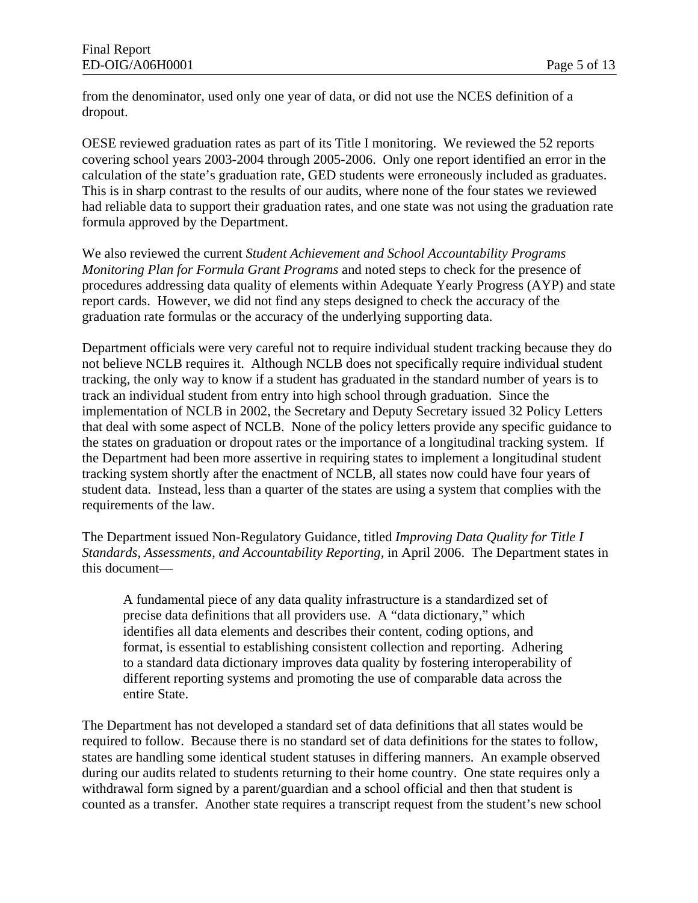from the denominator, used only one year of data, or did not use the NCES definition of a dropout.

OESE reviewed graduation rates as part of its Title I monitoring. We reviewed the 52 reports covering school years 2003-2004 through 2005-2006. Only one report identified an error in the calculation of the state's graduation rate, GED students were erroneously included as graduates. This is in sharp contrast to the results of our audits, where none of the four states we reviewed had reliable data to support their graduation rates, and one state was not using the graduation rate formula approved by the Department.

We also reviewed the current *Student Achievement and School Accountability Programs Monitoring Plan for Formula Grant Programs* and noted steps to check for the presence of procedures addressing data quality of elements within Adequate Yearly Progress (AYP) and state report cards. However, we did not find any steps designed to check the accuracy of the graduation rate formulas or the accuracy of the underlying supporting data.

Department officials were very careful not to require individual student tracking because they do not believe NCLB requires it. Although NCLB does not specifically require individual student tracking, the only way to know if a student has graduated in the standard number of years is to track an individual student from entry into high school through graduation. Since the implementation of NCLB in 2002, the Secretary and Deputy Secretary issued 32 Policy Letters that deal with some aspect of NCLB. None of the policy letters provide any specific guidance to the states on graduation or dropout rates or the importance of a longitudinal tracking system. If the Department had been more assertive in requiring states to implement a longitudinal student tracking system shortly after the enactment of NCLB, all states now could have four years of student data. Instead, less than a quarter of the states are using a system that complies with the requirements of the law.

The Department issued Non-Regulatory Guidance, titled *Improving Data Quality for Title I Standards, Assessments, and Accountability Reporting,* in April 2006. The Department states in this document—

A fundamental piece of any data quality infrastructure is a standardized set of precise data definitions that all providers use. A "data dictionary," which identifies all data elements and describes their content, coding options, and format, is essential to establishing consistent collection and reporting. Adhering to a standard data dictionary improves data quality by fostering interoperability of different reporting systems and promoting the use of comparable data across the entire State.

The Department has not developed a standard set of data definitions that all states would be required to follow. Because there is no standard set of data definitions for the states to follow, states are handling some identical student statuses in differing manners. An example observed during our audits related to students returning to their home country. One state requires only a withdrawal form signed by a parent/guardian and a school official and then that student is counted as a transfer. Another state requires a transcript request from the student's new school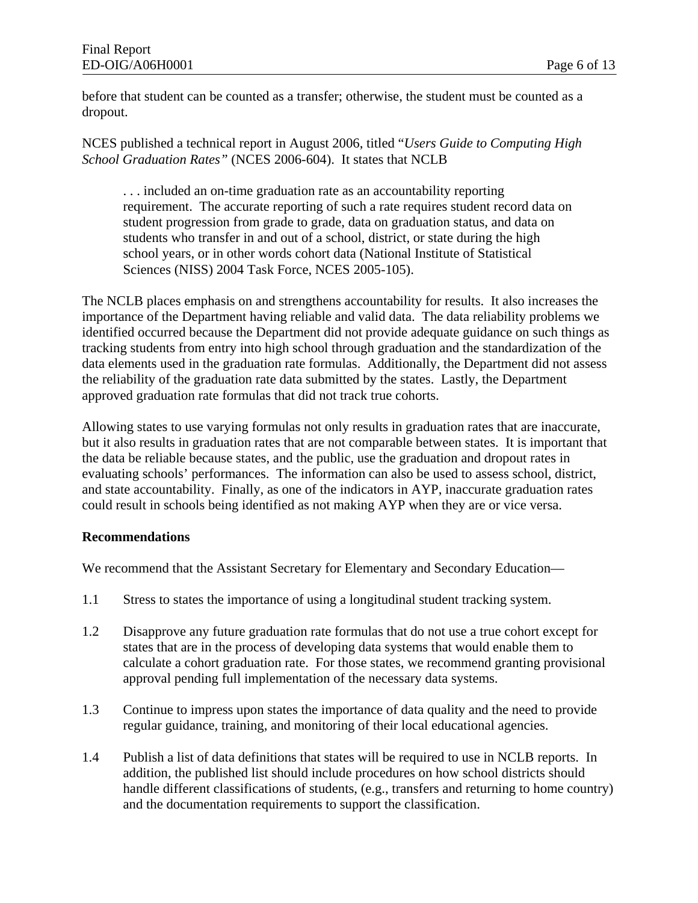before that student can be counted as a transfer; otherwise, the student must be counted as a dropout.

NCES published a technical report in August 2006, titled "*Users Guide to Computing High School Graduation Rates"* (NCES 2006-604). It states that NCLB

. . . included an on-time graduation rate as an accountability reporting requirement. The accurate reporting of such a rate requires student record data on student progression from grade to grade, data on graduation status, and data on students who transfer in and out of a school, district, or state during the high school years, or in other words cohort data (National Institute of Statistical Sciences (NISS) 2004 Task Force, NCES 2005-105).

The NCLB places emphasis on and strengthens accountability for results. It also increases the importance of the Department having reliable and valid data. The data reliability problems we identified occurred because the Department did not provide adequate guidance on such things as tracking students from entry into high school through graduation and the standardization of the data elements used in the graduation rate formulas. Additionally, the Department did not assess the reliability of the graduation rate data submitted by the states. Lastly, the Department approved graduation rate formulas that did not track true cohorts.

Allowing states to use varying formulas not only results in graduation rates that are inaccurate, but it also results in graduation rates that are not comparable between states. It is important that the data be reliable because states, and the public, use the graduation and dropout rates in evaluating schools' performances. The information can also be used to assess school, district, and state accountability. Finally, as one of the indicators in AYP, inaccurate graduation rates could result in schools being identified as not making AYP when they are or vice versa.

#### **Recommendations**

We recommend that the Assistant Secretary for Elementary and Secondary Education—

- 1.1 Stress to states the importance of using a longitudinal student tracking system.
- 1.2 Disapprove any future graduation rate formulas that do not use a true cohort except for states that are in the process of developing data systems that would enable them to calculate a cohort graduation rate. For those states, we recommend granting provisional approval pending full implementation of the necessary data systems.
- 1.3 Continue to impress upon states the importance of data quality and the need to provide regular guidance, training, and monitoring of their local educational agencies.
- 1.4 Publish a list of data definitions that states will be required to use in NCLB reports. In addition, the published list should include procedures on how school districts should handle different classifications of students, (e.g., transfers and returning to home country) and the documentation requirements to support the classification.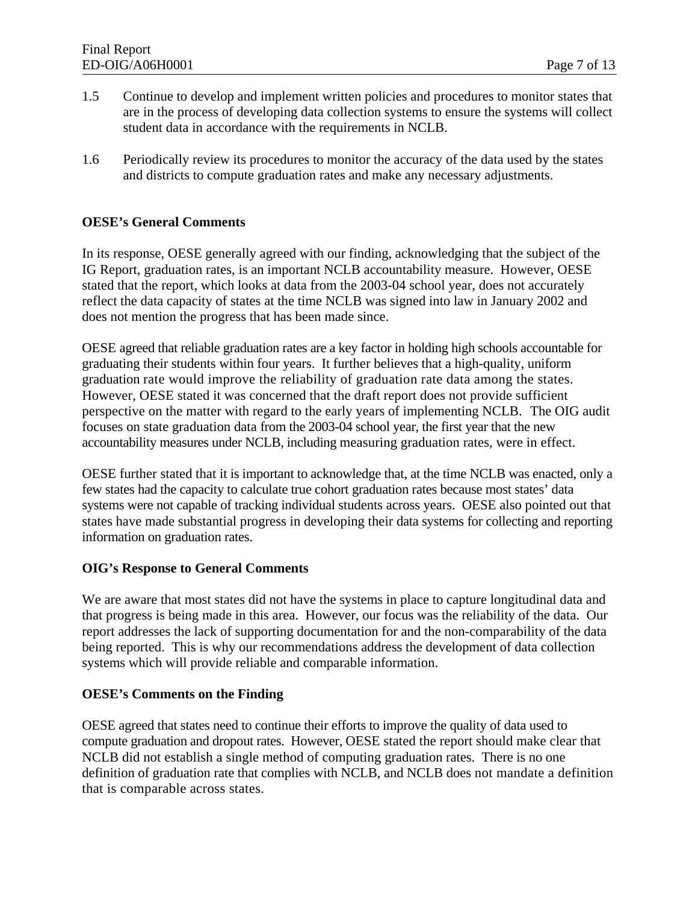- 1.5 Continue to develop and implement written policies and procedures to monitor states that are in the process of developing data collection systems to ensure the systems will collect student data in accordance with the requirements in NCLB.
- 1.6 Periodically review its procedures to monitor the accuracy of the data used by the states and districts to compute graduation rates and make any necessary adjustments.

#### **OESE's General Comments**

 reflect the data capacity of states at the time NCLB was signed into law in January 2002 and In its response, OESE generally agreed with our finding, acknowledging that the subject of the IG Report, graduation rates, is an important NCLB accountability measure. However, OESE stated that the report, which looks at data from the 2003-04 school year, does not accurately does not mention the progress that has been made since.

 perspective on the matter with regard to the early years of implementing NCLB. The OIG audit OESE agreed that reliable graduation rates are a key factor in holding high schools accountable for graduating their students within four years. It further believes that a high-quality, uniform graduation rate would improve the reliability of graduation rate data among the states. However, OESE stated it was concerned that the draft report does not provide sufficient focuses on state graduation data from the 2003-04 school year, the first year that the new accountability measures under NCLB, including measuring graduation rates, were in effect.

 OESE further stated that it is important to acknowledge that, at the time NCLB was enacted, only a states have made substantial progress in developing their data systems for collecting and reporting few states had the capacity to calculate true cohort graduation rates because most states' data systems were not capable of tracking individual students across years. OESE also pointed out that information on graduation rates.

#### **OIG's Response to General Comments**

We are aware that most states did not have the systems in place to capture longitudinal data and that progress is being made in this area. However, our focus was the reliability of the data. Our report addresses the lack of supporting documentation for and the non-comparability of the data being reported. This is why our recommendations address the development of data collection systems which will provide reliable and comparable information.

#### **OESE's Comments on the Finding**

OESE agreed that states need to continue their efforts to improve the quality of data used to compute graduation and dropout rates. However, OESE stated the report should make clear that NCLB did not establish a single method of computing graduation rates. There is no one definition of graduation rate that complies with NCLB, and NCLB does not mandate a definition that is comparable across states.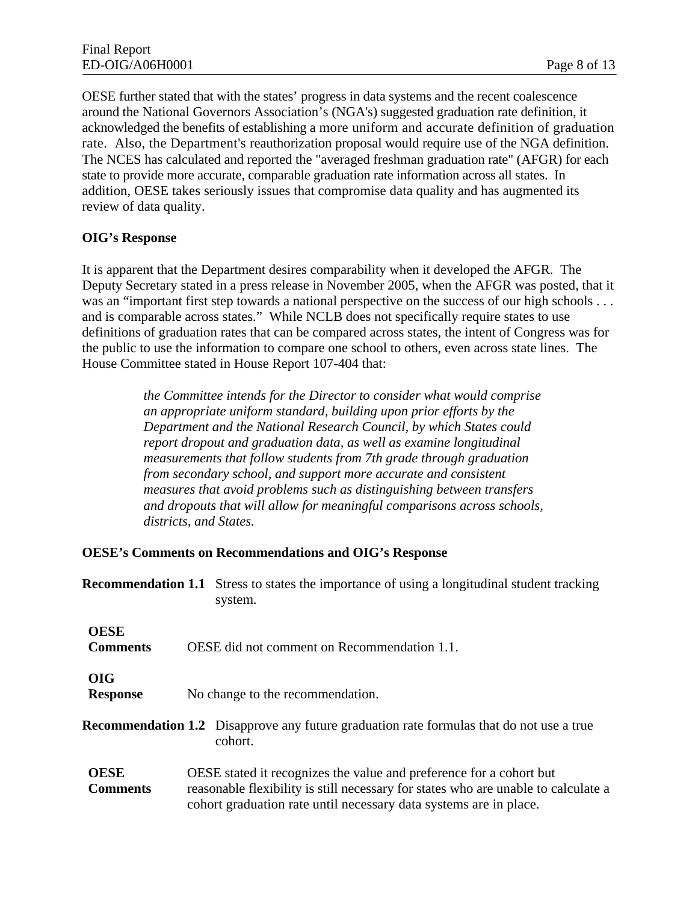acknowledged the benefits of establishing a more uniform and accurate definition of graduation OESE further stated that with the states' progress in data systems and the recent coalescence around the National Governors Association's (NGA's) suggested graduation rate definition, it rate. Also, the Department's reauthorization proposal would require use of the NGA definition. The NCES has calculated and reported the "averaged freshman graduation rate" (AFGR) for each state to provide more accurate, comparable graduation rate information across all states. In addition, OESE takes seriously issues that compromise data quality and has augmented its review of data quality.

#### **OIG's Response**

It is apparent that the Department desires comparability when it developed the AFGR. The Deputy Secretary stated in a press release in November 2005, when the AFGR was posted, that it was an "important first step towards a national perspective on the success of our high schools . . . and is comparable across states." While NCLB does not specifically require states to use definitions of graduation rates that can be compared across states, the intent of Congress was for the public to use the information to compare one school to others, even across state lines. The House Committee stated in House Report 107-404 that:

> *the Committee intends for the Director to consider what would comprise an appropriate uniform standard, building upon prior efforts by the Department and the National Research Council, by which States could report dropout and graduation data, as well as examine longitudinal measurements that follow students from 7th grade through graduation from secondary school, and support more accurate and consistent measures that avoid problems such as distinguishing between transfers and dropouts that will allow for meaningful comparisons across schools, districts, and States.*

#### **OESE's Comments on Recommendations and OIG's Response**

|                                | <b>Recommendation 1.1</b> Stress to states the importance of using a longitudinal student tracking<br>system.                                             |
|--------------------------------|-----------------------------------------------------------------------------------------------------------------------------------------------------------|
| <b>OESE</b><br><b>Comments</b> | OESE did not comment on Recommendation 1.1.                                                                                                               |
| <b>OIG</b><br><b>Response</b>  | No change to the recommendation.                                                                                                                          |
|                                | <b>Recommendation 1.2</b> Disapprove any future graduation rate formulas that do not use a true<br>cohort.                                                |
| <b>OESE</b><br><b>Comments</b> | OESE stated it recognizes the value and preference for a cohort but<br>reasonable flexibility is still necessary for states who are unable to calculate a |

cohort graduation rate until necessary data systems are in place.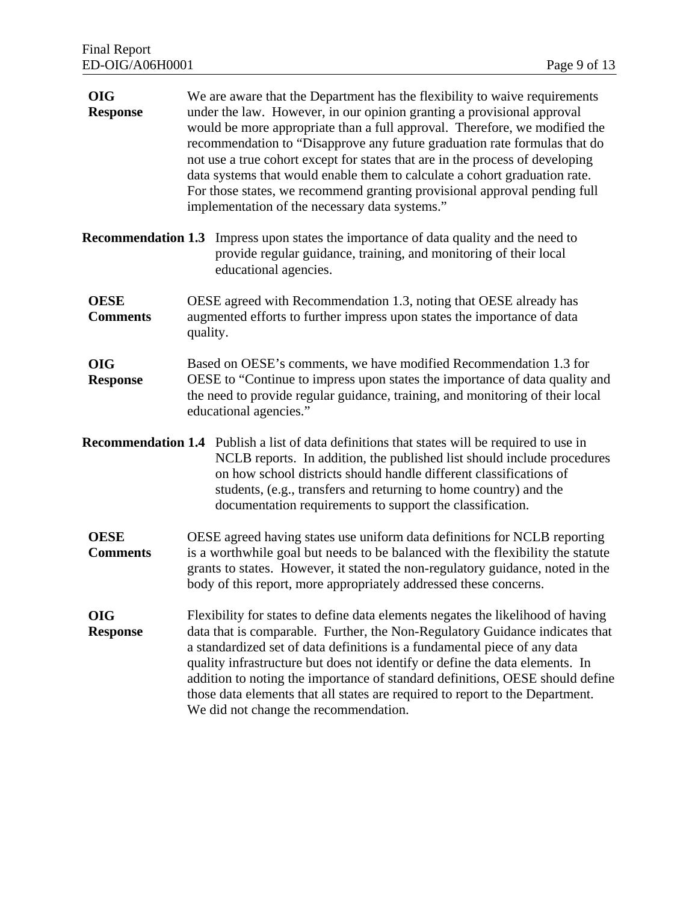| <b>OIG</b><br><b>Response</b>  | We are aware that the Department has the flexibility to waive requirements<br>under the law. However, in our opinion granting a provisional approval<br>would be more appropriate than a full approval. Therefore, we modified the<br>recommendation to "Disapprove any future graduation rate formulas that do<br>not use a true cohort except for states that are in the process of developing<br>data systems that would enable them to calculate a cohort graduation rate.<br>For those states, we recommend granting provisional approval pending full<br>implementation of the necessary data systems." |  |  |
|--------------------------------|---------------------------------------------------------------------------------------------------------------------------------------------------------------------------------------------------------------------------------------------------------------------------------------------------------------------------------------------------------------------------------------------------------------------------------------------------------------------------------------------------------------------------------------------------------------------------------------------------------------|--|--|
|                                | <b>Recommendation 1.3</b> Impress upon states the importance of data quality and the need to<br>provide regular guidance, training, and monitoring of their local<br>educational agencies.                                                                                                                                                                                                                                                                                                                                                                                                                    |  |  |
| <b>OESE</b><br><b>Comments</b> | OESE agreed with Recommendation 1.3, noting that OESE already has<br>augmented efforts to further impress upon states the importance of data<br>quality.                                                                                                                                                                                                                                                                                                                                                                                                                                                      |  |  |
| <b>OIG</b><br><b>Response</b>  | Based on OESE's comments, we have modified Recommendation 1.3 for<br>OESE to "Continue to impress upon states the importance of data quality and<br>the need to provide regular guidance, training, and monitoring of their local<br>educational agencies."                                                                                                                                                                                                                                                                                                                                                   |  |  |
|                                | <b>Recommendation 1.4</b> Publish a list of data definitions that states will be required to use in<br>NCLB reports. In addition, the published list should include procedures<br>on how school districts should handle different classifications of<br>students, (e.g., transfers and returning to home country) and the<br>documentation requirements to support the classification.                                                                                                                                                                                                                        |  |  |
| <b>OESE</b><br><b>Comments</b> | OESE agreed having states use uniform data definitions for NCLB reporting<br>is a worthwhile goal but needs to be balanced with the flexibility the statute<br>grants to states. However, it stated the non-regulatory guidance, noted in the<br>body of this report, more appropriately addressed these concerns.                                                                                                                                                                                                                                                                                            |  |  |
| <b>OIG</b><br><b>Response</b>  | Flexibility for states to define data elements negates the likelihood of having<br>data that is comparable. Further, the Non-Regulatory Guidance indicates that<br>a standardized set of data definitions is a fundamental piece of any data<br>quality infrastructure but does not identify or define the data elements. In<br>addition to noting the importance of standard definitions, OESE should define<br>those data elements that all states are required to report to the Department.<br>We did not change the recommendation.                                                                       |  |  |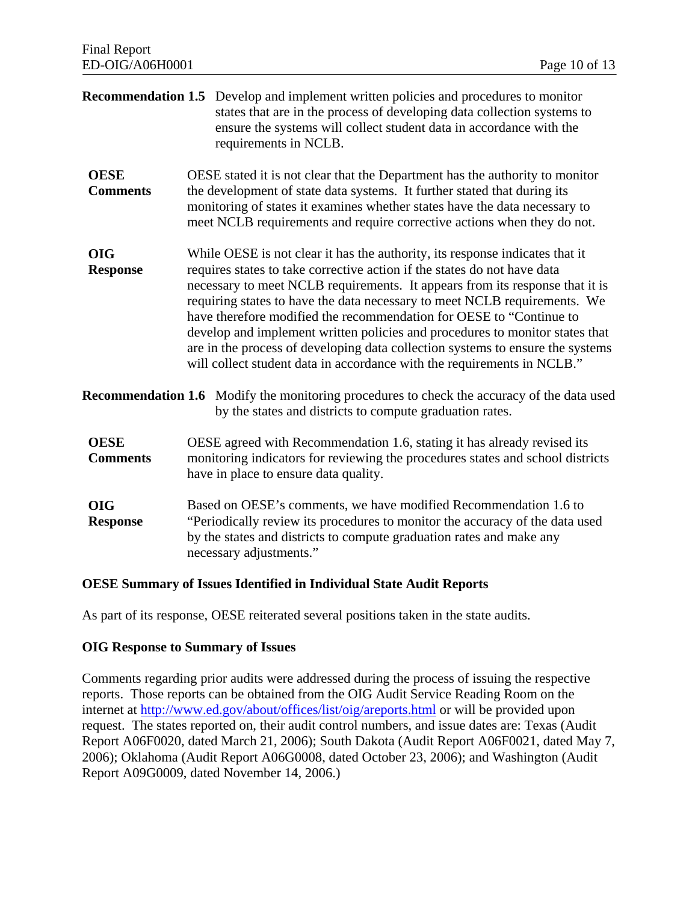|                                | <b>Recommendation 1.5</b> Develop and implement written policies and procedures to monitor<br>states that are in the process of developing data collection systems to<br>ensure the systems will collect student data in accordance with the<br>requirements in NCLB.                                                                                                                                                                                                                                                                                                                                                                     |  |  |
|--------------------------------|-------------------------------------------------------------------------------------------------------------------------------------------------------------------------------------------------------------------------------------------------------------------------------------------------------------------------------------------------------------------------------------------------------------------------------------------------------------------------------------------------------------------------------------------------------------------------------------------------------------------------------------------|--|--|
| <b>OESE</b><br><b>Comments</b> | OESE stated it is not clear that the Department has the authority to monitor<br>the development of state data systems. It further stated that during its<br>monitoring of states it examines whether states have the data necessary to<br>meet NCLB requirements and require corrective actions when they do not.                                                                                                                                                                                                                                                                                                                         |  |  |
| <b>OIG</b><br><b>Response</b>  | While OESE is not clear it has the authority, its response indicates that it<br>requires states to take corrective action if the states do not have data<br>necessary to meet NCLB requirements. It appears from its response that it is<br>requiring states to have the data necessary to meet NCLB requirements. We<br>have therefore modified the recommendation for OESE to "Continue to<br>develop and implement written policies and procedures to monitor states that<br>are in the process of developing data collection systems to ensure the systems<br>will collect student data in accordance with the requirements in NCLB." |  |  |
|                                | <b>Recommendation 1.6</b> Modify the monitoring procedures to check the accuracy of the data used<br>by the states and districts to compute graduation rates.                                                                                                                                                                                                                                                                                                                                                                                                                                                                             |  |  |
| <b>OESE</b><br><b>Comments</b> | OESE agreed with Recommendation 1.6, stating it has already revised its<br>monitoring indicators for reviewing the procedures states and school districts<br>have in place to ensure data quality.                                                                                                                                                                                                                                                                                                                                                                                                                                        |  |  |
| <b>OIG</b><br><b>Response</b>  | Based on OESE's comments, we have modified Recommendation 1.6 to<br>"Periodically review its procedures to monitor the accuracy of the data used<br>by the states and districts to compute graduation rates and make any<br>necessary adjustments."                                                                                                                                                                                                                                                                                                                                                                                       |  |  |

#### **OESE Summary of Issues Identified in Individual State Audit Reports**

As part of its response, OESE reiterated several positions taken in the state audits.

#### **OIG Response to Summary of Issues**

Comments regarding prior audits were addressed during the process of issuing the respective reports. Those reports can be obtained from the OIG Audit Service Reading Room on the internet at http://www.ed.gov/about/offices/list/oig/areports.html or will be provided upon request. The states reported on, their audit control numbers, and issue dates are: Texas (Audit Report A06F0020, dated March 21, 2006); South Dakota (Audit Report A06F0021, dated May 7, 2006); Oklahoma (Audit Report A06G0008, dated October 23, 2006); and Washington (Audit Report A09G0009, dated November 14, 2006.)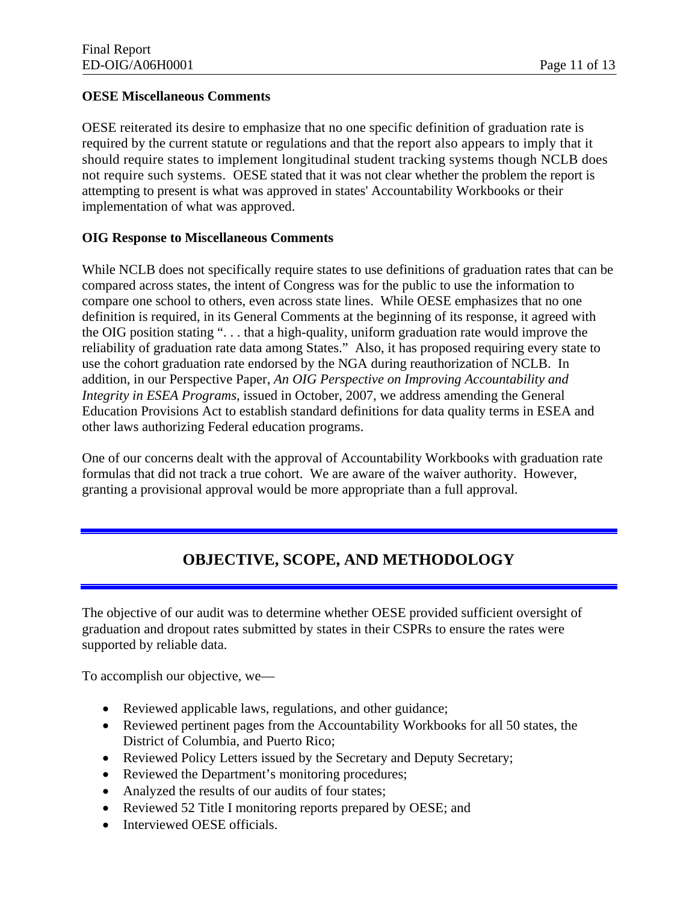#### **OESE Miscellaneous Comments**

 required by the current statute or regulations and that the report also appears to imply that it not require such systems. OESE stated that it was not clear whether the problem the report is OESE reiterated its desire to emphasize that no one specific definition of graduation rate is should require states to implement longitudinal student tracking systems though NCLB does attempting to present is what was approved in states' Accountability Workbooks or their implementation of what was approved.

#### **OIG Response to Miscellaneous Comments**

While NCLB does not specifically require states to use definitions of graduation rates that can be compared across states, the intent of Congress was for the public to use the information to compare one school to others, even across state lines. While OESE emphasizes that no one definition is required, in its General Comments at the beginning of its response, it agreed with the OIG position stating ". . . that a high-quality, uniform graduation rate would improve the reliability of graduation rate data among States." Also, it has proposed requiring every state to use the cohort graduation rate endorsed by the NGA during reauthorization of NCLB. In addition, in our Perspective Paper, *An OIG Perspective on Improving Accountability and Integrity in ESEA Programs,* issued in October, 2007, we address amending the General Education Provisions Act to establish standard definitions for data quality terms in ESEA and other laws authorizing Federal education programs.

One of our concerns dealt with the approval of Accountability Workbooks with graduation rate formulas that did not track a true cohort. We are aware of the waiver authority. However, granting a provisional approval would be more appropriate than a full approval.

## **OBJECTIVE, SCOPE, AND METHODOLOGY**

The objective of our audit was to determine whether OESE provided sufficient oversight of graduation and dropout rates submitted by states in their CSPRs to ensure the rates were supported by reliable data.

To accomplish our objective, we—

- Reviewed applicable laws, regulations, and other guidance;
- Reviewed pertinent pages from the Accountability Workbooks for all 50 states, the District of Columbia, and Puerto Rico;
- Reviewed Policy Letters issued by the Secretary and Deputy Secretary;
- Reviewed the Department's monitoring procedures;
- Analyzed the results of our audits of four states;
- Reviewed 52 Title I monitoring reports prepared by OESE; and
- Interviewed OESE officials.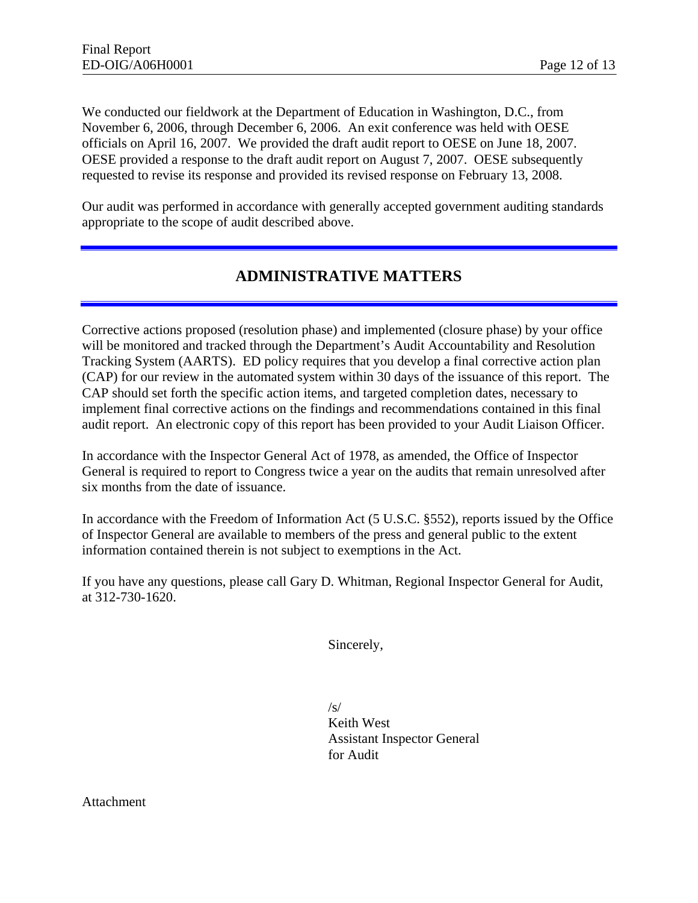We conducted our fieldwork at the Department of Education in Washington, D.C., from November 6, 2006, through December 6, 2006. An exit conference was held with OESE officials on April 16, 2007. We provided the draft audit report to OESE on June 18, 2007. OESE provided a response to the draft audit report on August 7, 2007. OESE subsequently requested to revise its response and provided its revised response on February 13, 2008.

Our audit was performed in accordance with generally accepted government auditing standards appropriate to the scope of audit described above.

## **ADMINISTRATIVE MATTERS**

Corrective actions proposed (resolution phase) and implemented (closure phase) by your office will be monitored and tracked through the Department's Audit Accountability and Resolution Tracking System (AARTS). ED policy requires that you develop a final corrective action plan (CAP) for our review in the automated system within 30 days of the issuance of this report. The CAP should set forth the specific action items, and targeted completion dates, necessary to implement final corrective actions on the findings and recommendations contained in this final audit report. An electronic copy of this report has been provided to your Audit Liaison Officer.

In accordance with the Inspector General Act of 1978, as amended, the Office of Inspector General is required to report to Congress twice a year on the audits that remain unresolved after six months from the date of issuance.

In accordance with the Freedom of Information Act (5 U.S.C. §552), reports issued by the Office of Inspector General are available to members of the press and general public to the extent information contained therein is not subject to exemptions in the Act.

If you have any questions, please call Gary D. Whitman, Regional Inspector General for Audit, at 312-730-1620.

Sincerely,

 $/s/$ Keith West Assistant Inspector General for Audit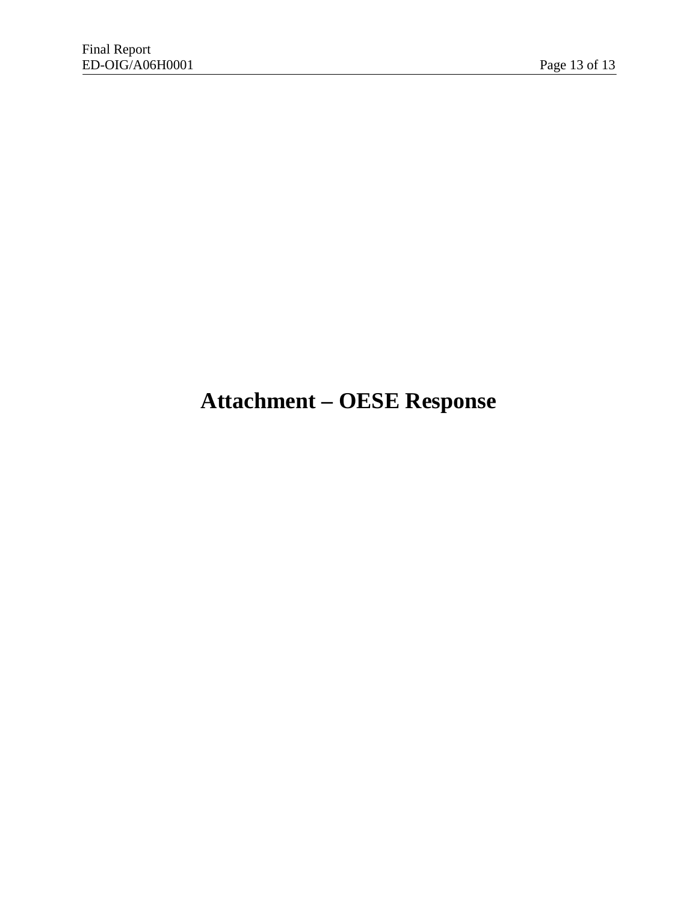# **Attachment – OESE Response**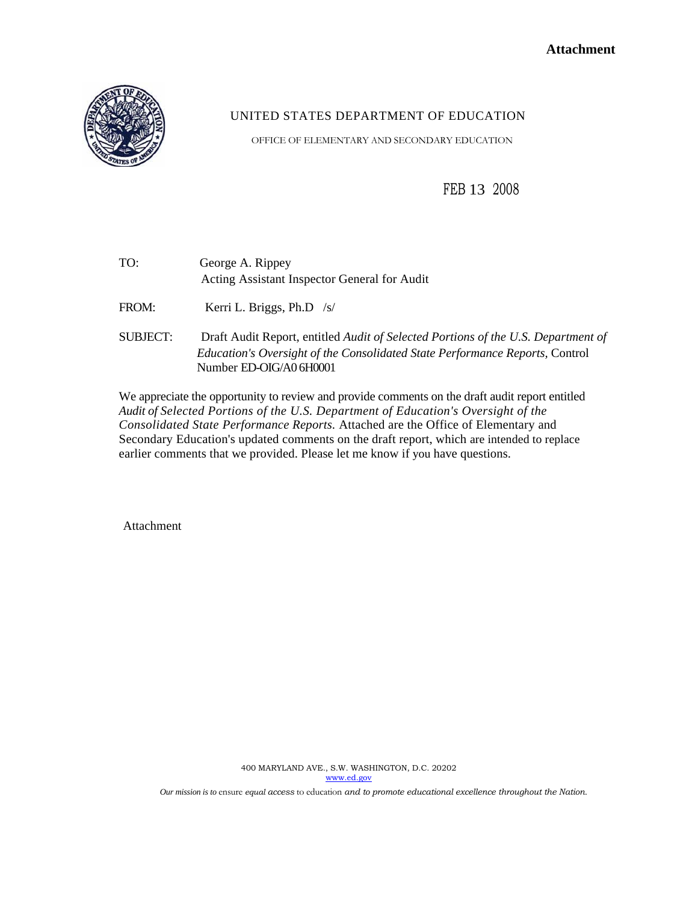

### UNITED STATES DEPARTMENT OF EDUCATION

OFFICE OF ELEMENTARY AND SECONDARY EDUCATION

FEB 13 <sup>2008</sup>

| TO: | George A. Rippey                             |
|-----|----------------------------------------------|
|     | Acting Assistant Inspector General for Audit |
|     |                                              |

FROM: Kerri L. Briggs, Ph.D /s/

SUBJECT: Draft Audit Report, entitled *Audit of Selected Portions of the U.S. Department of Education's Oversight of the Consolidated State Performance Reports,* Control Number ED-OIG/A0 6H0001

 *Consolidated State Performance Reports.* Attached are the Office of Elementary and We appreciate the opportunity to review and provide comments on the draft audit report entitled *Audit of Selected Portions of the U.S. Department of Education's Oversight of the*  Secondary Education's updated comments on the draft report, which are intended to replace earlier comments that we provided. Please let me know if you have questions.

Attachment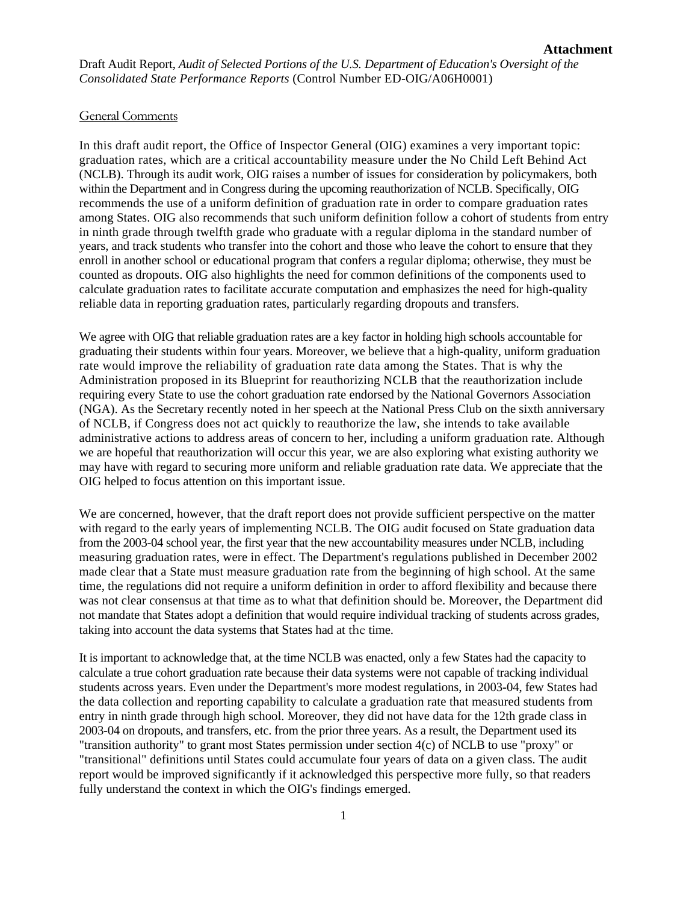Draft Audit Report, *Audit of Selected Portions of the U.S. Department of Education's Oversight of the Consolidated State Performance Reports* (Control Number ED-OIG/A06H0001)

#### General Comments

In this draft audit report, the Office of Inspector General (OIG) examines a very important topic: graduation rates, which are a critical accountability measure under the No Child Left Behind Act (NCLB). Through its audit work, OIG raises a number of issues for consideration by policymakers, both within the Department and in Congress during the upcoming reauthorization of NCLB. Specifically, OIG recommends the use of a uniform definition of graduation rate in order to compare graduation rates among States. OIG also recommends that such uniform definition follow a cohort of students from entry in ninth grade through twelfth grade who graduate with a regular diploma in the standard number of years, and track students who transfer into the cohort and those who leave the cohort to ensure that they enroll in another school or educational program that confers a regular diploma; otherwise, they must be counted as dropouts. OIG also highlights the need for common definitions of the components used to calculate graduation rates to facilitate accurate computation and emphasizes the need for high-quality reliable data in reporting graduation rates, particularly regarding dropouts and transfers.

 We agree with OIG that reliable graduation rates are a key factor in holding high schools accountable for graduating their students within four years. Moreover, we believe that a high-quality, uniform graduation rate would improve the reliability of graduation rate data among the States. That is why the Administration proposed in its Blueprint for reauthorizing NCLB that the reauthorization include requiring every State to use the cohort graduation rate endorsed by the National Governors Association (NGA). As the Secretary recently noted in her speech at the National Press Club on the sixth anniversary of NCLB, if Congress does not act quickly to reauthorize the law, she intends to take available administrative actions to address areas of concern to her, including a uniform graduation rate. Although we are hopeful that reauthorization will occur this year, we are also exploring what existing authority we may have with regard to securing more uniform and reliable graduation rate data. We appreciate that the OIG helped to focus attention on this important issue.

We are concerned, however, that the draft report does not provide sufficient perspective on the matter with regard to the early years of implementing NCLB. The OIG audit focused on State graduation data from the 2003-04 school year, the first year that the new accountability measures under NCLB, including measuring graduation rates, were in effect. The Department's regulations published in December 2002 made clear that a State must measure graduation rate from the beginning of high school. At the same time, the regulations did not require a uniform definition in order to afford flexibility and because there was not clear consensus at that time as to what that definition should be. Moreover, the Department did not mandate that States adopt a definition that would require individual tracking of students across grades, taking into account the data systems that States had at the time.

 It is important to acknowledge that, at the time NCLB was enacted, only a few States had the capacity to calculate a true cohort graduation rate because their data systems were not capable of tracking individual students across years. Even under the Department's more modest regulations, in 2003-04, few States had the data collection and reporting capability to calculate a graduation rate that measured students from entry in ninth grade through high school. Moreover, they did not have data for the 12th grade class in 2003-04 on dropouts, and transfers, etc. from the prior three years. As a result, the Department used its "transition authority" to grant most States permission under section 4(c) of NCLB to use "proxy" or "transitional" definitions until States could accumulate four years of data on a given class. The audit report would be improved significantly if it acknowledged this perspective more fully, so that readers fully understand the context in which the OIG's findings emerged.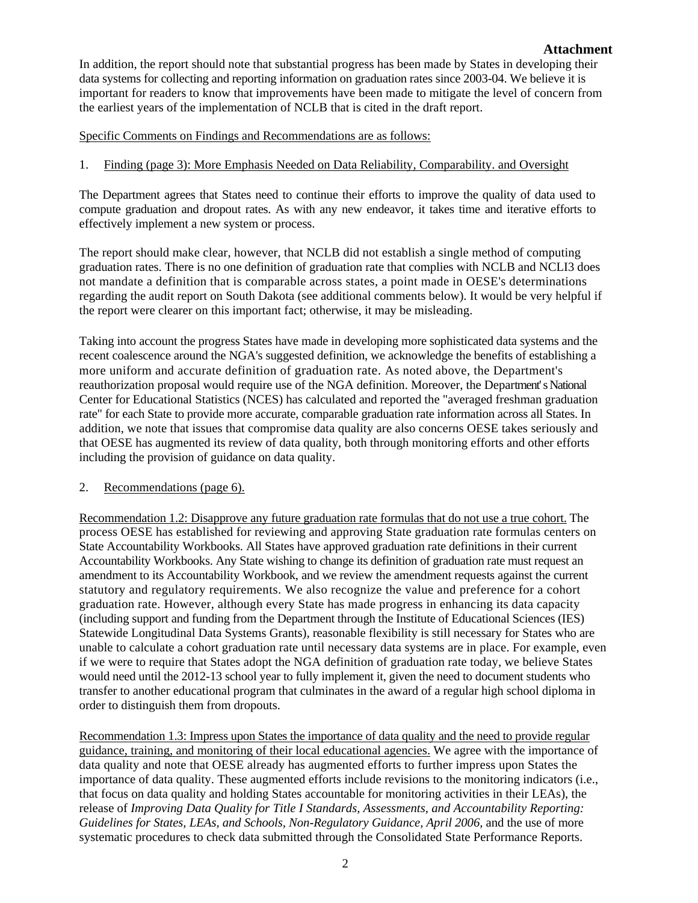data systems for collecting and reporting information on graduation rates since 2003-04. We believe it is In addition, the report should note that substantial progress has been made by States in developing their important for readers to know that improvements have been made to mitigate the level of concern from the earliest years of the implementation of NCLB that is cited in the draft report.

Specific Comments on Findings and Recommendations are as follows:

#### 1. Finding (page 3): More Emphasis Needed on Data Reliability, Comparability. and Oversight

 The Department agrees that States need to continue their efforts to improve the quality of data used to compute graduation and dropout rates. As with any new endeavor, it takes time and iterative efforts to effectively implement a new system or process.

The report should make clear, however, that NCLB did not establish a single method of computing graduation rates. There is no one definition of graduation rate that complies with NCLB and NCLI3 does not mandate a definition that is comparable across states, a point made in OESE's determinations regarding the audit report on South Dakota (see additional comments below). It would be very helpful if the report were clearer on this important fact; otherwise, it may be misleading.

 reauthorization proposal would require use of the NGA definition. Moreover, the Department' sNational rate" for each State to provide more accurate, comparable graduation rate information across all States. In Taking into account the progress States have made in developing more sophisticated data systems and the recent coalescence around the NGA's suggested definition, we acknowledge the benefits of establishing a more uniform and accurate definition of graduation rate. As noted above, the Department's Center for Educational Statistics (NCES) has calculated and reported the "averaged freshman graduation addition, we note that issues that compromise data quality are also concerns OESE takes seriously and that OESE has augmented its review of data quality, both through monitoring efforts and other efforts including the provision of guidance on data quality.

#### 2. Recommendations (page 6).

Recommendation 1.2: Disapprove any future graduation rate formulas that do not use a true cohort. The process OESE has established for reviewing and approving State graduation rate formulas centers on State Accountability Workbooks. All States have approved graduation rate definitions in their current Accountability Workbooks. Any State wishing to change its definition of graduation rate must request an amendment to its Accountability Workbook, and we review the amendment requests against the current statutory and regulatory requirements. We also recognize the value and preference for a cohort graduation rate. However, although every State has made progress in enhancing its data capacity (including support and funding from the Department through the Institute of Educational Sciences (IES) Statewide Longitudinal Data Systems Grants), reasonable flexibility is still necessary for States who are unable to calculate a cohort graduation rate until necessary data systems are in place. For example, even if we were to require that States adopt the NGA definition of graduation rate today, we believe States would need until the 2012-13 school year to fully implement it, given the need to document students who transfer to another educational program that culminates in the award of a regular high school diploma in order to distinguish them from dropouts.

Recommendation 1.3: Impress upon States the importance of data quality and the need to provide regular guidance, training, and monitoring of their local educational agencies. We agree with the importance of data quality and note that OESE already has augmented efforts to further impress upon States the importance of data quality. These augmented efforts include revisions to the monitoring indicators (i.e., that focus on data quality and holding States accountable for monitoring activities in their LEAs), the release of *Improving Data Quality for Title I Standards, Assessments, and Accountability Reporting:*  Guidelines for States, LEAs, and Schools, Non-Regulatory Guidance, April 2006, and the use of more systematic procedures to check data submitted through the Consolidated State Performance Reports.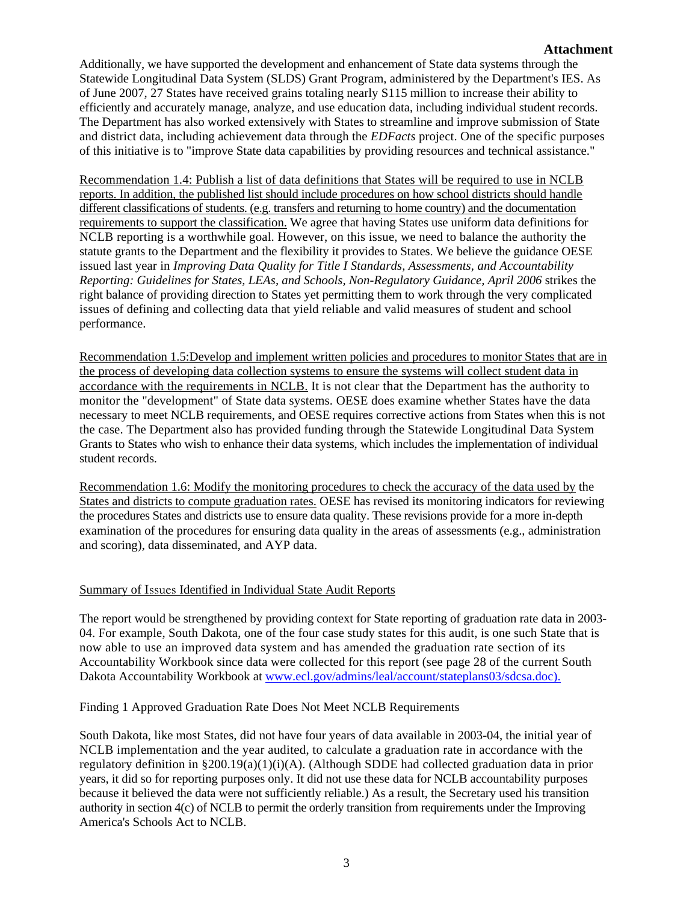#### **Attachment**

 Additionally, we have supported the development and enhancement of State data systems through the Statewide Longitudinal Data System (SLDS) Grant Program, administered by the Department's IES. As of June 2007, 27 States have received grains totaling nearly S115 million to increase their ability to efficiently and accurately manage, analyze, and use education data, including individual student records. The Department has also worked extensively with States to streamline and improve submission of State and district data, including achievement data through the *EDFacts* project. One of the specific purposes of this initiative is to "improve State data capabilities by providing resources and technical assistance."

Recommendation 1.4: Publish a list of data definitions that States will be required to use in NCLB reports. In addition, the published list should include procedures on how school districts should handle different classifications of students. (e.g. transfers and returning to home country) and the documentation requirements to support the classification. We agree that having States use uniform data definitions for NCLB reporting is a worthwhile goal. However, on this issue, we need to balance the authority the statute grants to the Department and the flexibility it provides to States. We believe the guidance OESE issued last year in *Improving Data Quality for Title I Standards, Assessments, and Accountability Reporting: Guidelines for States, LEAs, and Schools, Non-Regulatory Guidance, April 2006* strikes the right balance of providing direction to States yet permitting them to work through the very complicated issues of defining and collecting data that yield reliable and valid measures of student and school performance.

Recommendation 1.5:Develop and implement written policies and procedures to monitor States that are in the process of developing data collection systems to ensure the systems will collect student data in accordance with the requirements in NCLB. It is not clear that the Department has the authority to monitor the "development" of State data systems. OESE does examine whether States have the data necessary to meet NCLB requirements, and OESE requires corrective actions from States when this is not the case. The Department also has provided funding through the Statewide Longitudinal Data System Grants to States who wish to enhance their data systems, which includes the implementation of individual student records.

Recommendation 1.6: Modify the monitoring procedures to check the accuracy of the data used by the States and districts to compute graduation rates. OESE has revised its monitoring indicators for reviewing the procedures States and districts use to ensure data quality. These revisions provide for a more in-depth examination of the procedures for ensuring data quality in the areas of assessments (e.g., administration and scoring), data disseminated, and AYP data.

#### Summary of Issues Identified in Individual State Audit Reports

The report would be strengthened by providing context for State reporting of graduation rate data in 2003- 04. For example, South Dakota, one of the four case study states for this audit, is one such State that is now able to use an improved data system and has amended the graduation rate section of its Accountability Workbook since data were collected for this report (see page 28 of the current South Dakota Accountability Workbook at www.ecl.gov/admins/leal/account/stateplans03/sdcsa.doc).

#### Finding 1 Approved Graduation Rate Does Not Meet NCLB Requirements

 authority in section 4(c) of NCLB to permit the orderly transition from requirements under the Improving South Dakota, like most States, did not have four years of data available in 2003-04, the initial year of NCLB implementation and the year audited, to calculate a graduation rate in accordance with the regulatory definition in §200.19(a)(1)(i)(A). (Although SDDE had collected graduation data in prior years, it did so for reporting purposes only. It did not use these data for NCLB accountability purposes because it believed the data were not sufficiently reliable.) As a result, the Secretary used his transition America's Schools Act to NCLB.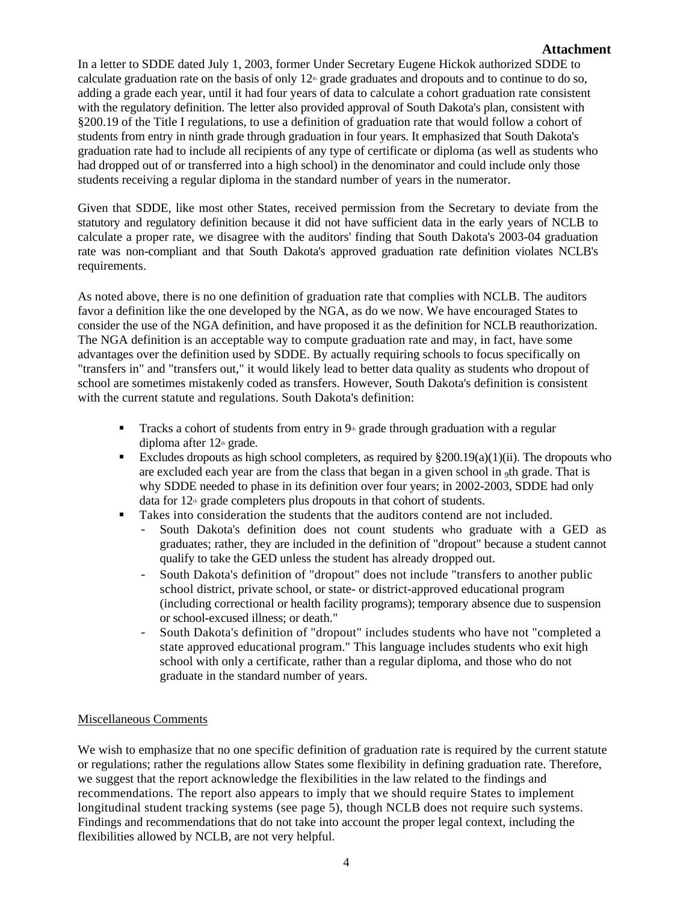In a letter to SDDE dated July 1, 2003, former Under Secretary Eugene Hickok authorized SDDE to calculate graduation rate on the basis of only  $12<sup>th</sup>$  grade graduates and dropouts and to continue to do so, adding a grade each year, until it had four years of data to calculate a cohort graduation rate consistent with the regulatory definition. The letter also provided approval of South Dakota's plan, consistent with §200.19 of the Title I regulations, to use a definition of graduation rate that would follow a cohort of students from entry in ninth grade through graduation in four years. It emphasized that South Dakota's graduation rate had to include all recipients of any type of certificate or diploma (as well as students who had dropped out of or transferred into a high school) in the denominator and could include only those students receiving a regular diploma in the standard number of years in the numerator.

 statutory and regulatory definition because it did not have sufficient data in the early years of NCLB to rate was non-compliant and that South Dakota's approved graduation rate definition violates NCLB's Given that SDDE, like most other States, received permission from the Secretary to deviate from the calculate a proper rate, we disagree with the auditors' finding that South Dakota's 2003-04 graduation requirements.

As noted above, there is no one definition of graduation rate that complies with NCLB. The auditors favor a definition like the one developed by the NGA, as do we now. We have encouraged States to consider the use of the NGA definition, and have proposed it as the definition for NCLB reauthorization. The NGA definition is an acceptable way to compute graduation rate and may, in fact, have some advantages over the definition used by SDDE. By actually requiring schools to focus specifically on "transfers in" and "transfers out," it would likely lead to better data quality as students who dropout of school are sometimes mistakenly coded as transfers. However, South Dakota's definition is consistent with the current statute and regulations. South Dakota's definition:

- Tracks a cohort of students from entry in  $9<sup>th</sup>$  grade through graduation with a regular diploma after  $12<sup>th</sup>$  grade.
- Excludes dropouts as high school completers, as required by  $\S200.19(a)(1)(ii)$ . The dropouts who are excluded each year are from the class that began in a given school in 9th grade. That is why SDDE needed to phase in its definition over four years; in 2002-2003, SDDE had only data for  $12<sup>th</sup>$  grade completers plus dropouts in that cohort of students.
- Takes into consideration the students that the auditors contend are not included.
	- graduates; rather, they are included in the definition of "dropout" because a student cannot qualify to take the GED unless the student has already dropped out. South Dakota's definition does not count students who graduate with a GED as
	- (including correctional or health facility programs); temporary absence due to suspension - South Dakota's definition of "dropout" does not include "transfers to another public school district, private school, or state- or district-approved educational program or school-excused illness; or death."
	- school with only a certificate, rather than a regular diploma, and those who do not - South Dakota's definition of "dropout" includes students who have not "completed a state approved educational program." This language includes students who exit high graduate in the standard number of years.

#### Miscellaneous Comments

We wish to emphasize that no one specific definition of graduation rate is required by the current statute or regulations; rather the regulations allow States some flexibility in defining graduation rate. Therefore, we suggest that the report acknowledge the flexibilities in the law related to the findings and recommendations. The report also appears to imply that we should require States to implement longitudinal student tracking systems (see page 5), though NCLB does not require such systems. Findings and recommendations that do not take into account the proper legal context, including the flexibilities allowed by NCLB, are not very helpful.